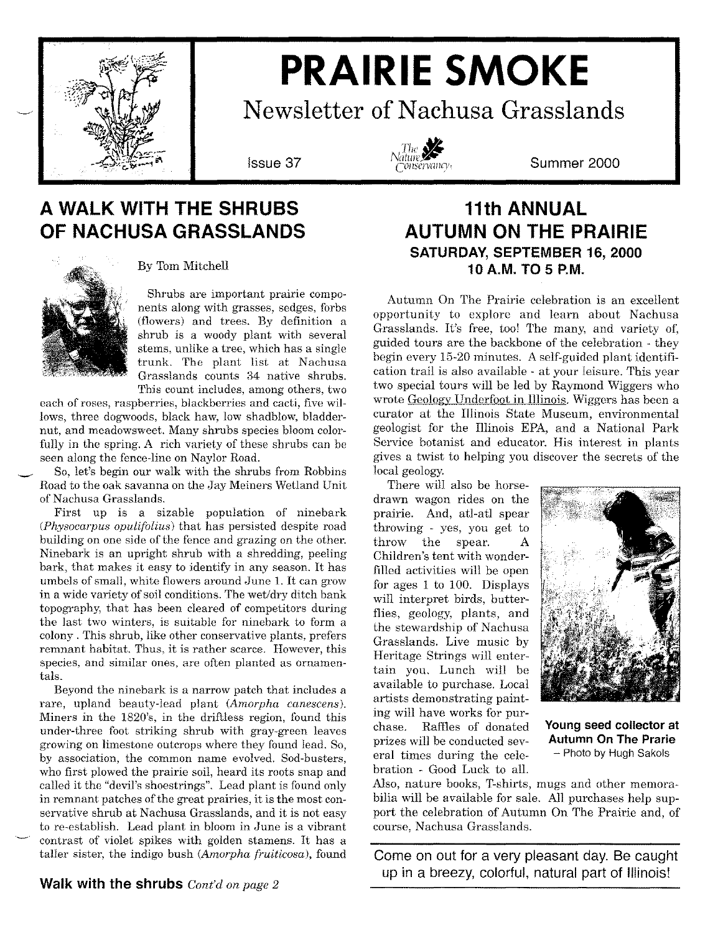

# **PRAIRIE SMOKE**

**Newsletter of Nachusa Grasslands**



**Issue 37 Summer 2000**

# **A WALK WITH THE SHRUBS OF NACHUSA GRASSLANDS**



By Tom Mitchell

Shrubs are important prairie components along with grasses, sedges, forbs (flowers) and trees. By definition a shrub is a woody plant with several stems, unlike a tree, which has a single trunk. The plant list at Nachusa Grasslands counts 34 native shrubs. This count includes, among others, two

each of roses, raspberries, blackberries and cacti, five willows, three dogwoods, black haw, low shadblow, bladdernut, and meadowsweet. Many shrubs species bloomcolorfully in the spring. A rich variety of these shrubs can be seen along the fence-line on Naylor Road.

So, let's begin our walk with the shrubs from Robbins Road to the oak savanna on the Jay Meiners Wetland Unit of Nachusa Grasslands.

First up is a sizable population of ninebark *CPhysocarpus opulifolius)* that has persisted despite road building on one side of the fence and grazing on the other. Ninebark is an upright shrub with a shredding, peeling bark, that makes it easy to identify in any season. It has umbels of small, white flowers around June 1. It can grow in a wide variety of soil conditions. The wet/dry ditch bank topography, that has been cleared of competitors during the last two winters, is suitable for ninebark to form a colony. This shrub, like other conservative plants, prefers remnant habitat. Thus, it is rather scarce. However, this species, and similar ones, are often planted as ornamentals.

Beyond the ninebark is a narrow patch that includes a rare, upland beauty-lead plant *(Amorpha canescens).* Miners in the 1820's, in the driftless region, found this under-three foot striking shrub with gray-green leaves growing on limestone outcrops where they found lead. So, by association, the common name evolved. Sod-busters, who first plowed the prairie soil, heard its roots snap and called it the "devil's shoestrings". Lead plant is found only in remnant patches of the great prairies, it is the most conservative shrub at Nachusa Grasslands, and it is not easy to re-establish. Lead plant in bloom in June is a vibrant contrast of violet spikes with golden stamens. It has a taller sister, the indigo bush *(Amorpha fruiticosa),* found

## **11th ANNUAL AUTUMN ON THE PRAIRIE SATURDAY, SEPTEMBER 16, 2000 10 A.M. TO 5 P.M.**

Autumn On The Prairie celebration is an excellent opportunity to explore and learn about Nachusa Grasslands. It's free, too! The many, and variety of, guided tours are the backbone of the celebration - they begin every 15-20 minutes. A self-guided plant identification trail is also available - at your leisure. This year two special tours will be led by Raymond Wiggers who wrote Geology Underfoot in Illinois. Wiggers has been a curator at the Illinois State Museum, environmental geologist for the Illinois EPA, and a National Park Service botanist and educator. His interest in plants gives a twist to helping you discover the secrets of the local geology.

There will also be horsedrawn wagon rides on the prairie. And, atl-atl spear throwing - yes, you get to throw the spear. A Children's tent with wonderfilled activities will be open for ages 1 to 100. Displays will interpret birds, butterflies, geology, plants, and the stewardship of Nachusa Grasslands. Live music by Heritage Strings will entertain you. Lunch will be available to purchase. Local artists demonstrating painting will have works for purchase. Raffles of donated prizes will be conducted several times during the celebration - Good Luck to all.



**Young seed collector at Autumn On The Prarie** - Photo by Hugh Sakols

Also, nature books, T-shirts, mugs and other memorabilia will be available for sale. All purchases help support the celebration of Autumn On The Prairie and, of course, Nachusa Grasslands.

**Come on out for a very pleasant day. Be caught up in a breezy, colorful, natural part of Illinois!**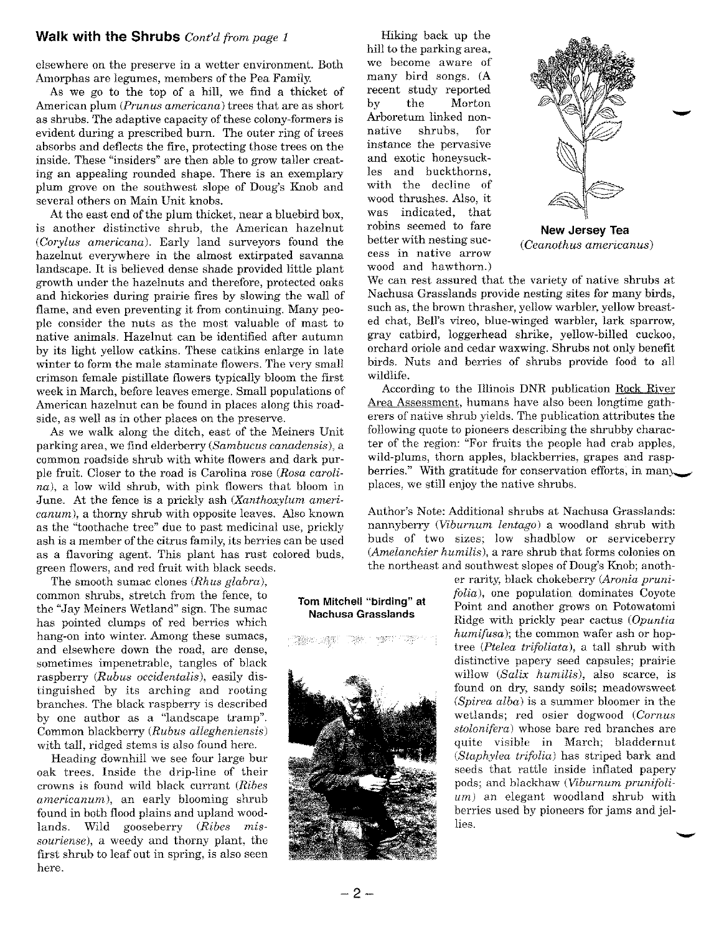### **Walk with the Shrubs** *Cont'd from page 1* Hiking back up the

elsewhere on the preserve in a wetter environment. Both Amorphas are legumes, members of the Pea Family.

As we go to the top of a hill, we find a thicket of American plum *(Prunus americana)* trees that are as short as shrubs. The adaptive capacity of these colony-formers is evident during a prescribed burn. The outer ring of trees absorbs and deflects the fire, protecting those trees on the inside. These "insiders" are then able to grow taller creating an appealing rounded shape. There is an exemplary plum grove on the southwest slope of Doug's Knob and several others on Main Unit knobs.

At the east end of the plum thicket, near a bluebird box, is another distinctive shrub, the American hazelnut *(Corylus americana).* Early land surveyors found the hazelnut everywhere in the almost extirpated savanna landscape. It is believed dense shade provided little plant growth under the hazelnuts and therefore, protected oaks and hickories during prairie fires by slowing the wall of flame, and even preventing it from continuing. Many people consider the nuts as the most valuable of mast to native animals. Hazelnut can be identified after autumn by its light yellow catkins. These catkins enlarge in late winter to form the male staminate flowers. The very small crimson female pistillate flowers typically bloom the first week in March, before leaves emerge. Small populations of American hazelnut can be found in places along this roadside, as well as in other places on the preserve.

As we walk along the ditch, east of the Meiners Unit parking area, we find elderberry *(Sambucus canadensis),* a common roadside shrub with white flowers and dark purple fruit. Closer to the road is Carolina rose *(Rosa carolina),* a low wild shrub, with pink flowers that bloom in June. At the fence is a prickly ash *(Xanthoxylum americanum),* a thorny shrub with opposite leaves. Also known as the "toothache tree" due to past medicinal use, prickly ash is a member of the citrus family, its berries can be used as a flavoring agent. This plant has rust colored buds, green flowers, and red fruit with black seeds.

The smooth sumac clones *(Rhus glabra),* common shrubs, stretch from the fence, to the "Jay Meiners Wetland" sign. The sumac has pointed clumps of red berries which hang-on into winter. Among these sumacs, and elsewhere down the road, are dense, sometimes impenetrable, tangles of black raspberry *(Rubus occidentalis),* easily distinguished by its arching and rooting branches. The black raspberry is described by one author as a "landscape tramp". Common blackberry *(Rubus allegheniensis)* with tall, ridged stems is also found here.

Heading downhill we see four large bur oak trees. Inside the drip-line of their crowns is found wild black currant *(Ribes americanum),* an early blooming shrub found in both flood plains and upland woodlands. Wild gooseberry *(Ribes missouriense),* a weedy and thorny plant, the first shrub to leaf out in spring, is also seen here.

hill to the parking area, we become aware of many bird songs. (A recent study reported by the Morton Arboretum linked nonnative shrubs, for instance the pervasive and exotic honeysuckles and buckthorns, with the decline of wood thrushes. Also, it was indicated, that robins seemed to fare better with nesting success in native arrow wood and hawthorn.)



**New Jersey Tea** *(Ceanothus american us)*

We can rest assured that the variety of native shrubs at Nachusa Grasslands provide nesting sites for many birds, such as, the brown thrasher, yellow warbler, yellow breasted chat, Bell's vireo, blue-winged warbler, lark sparrow, gray catbird, loggerhead shrike, yellow-billed cuckoo, orchard oriole and cedar waxwing. Shrubs not only benefit birds. Nuts and berries of shrubs provide food to all wildlife.

According to the Illinois DNR publication Rock River Area Assessment, humans have also been longtime gatherers of native shrub yields. The publication attributes the following quote to pioneers describing the shrubby character of the region: "For fruits the people had crab apples, wild-plums, thorn apples, blackberries, grapes and raspberries." With gratitude for conservation efforts, in many places, we still enjoy the native shrubs.

Author's Note: Additional shrubs at Nachusa Grasslands: nannyberry *(Viburnum lentago)* a woodland shrub with buds of two sizes; low shadblow or serviceberry *(Amelanchier humilis),* a rare shrub that forms colonies on the northeast and southwest slopes of Doug's Knob; anoth-

### er rarity, black chokeberry *(Aronia prunifolia),* one population dominates Coyote Point and another grows on Potowatomi Ridge with prickly pear cactus *(Opuntia humifusa);* the common wafer ash or hoptree *(Ptelea trifoliata),* a tall shrub with distinctive papery seed capsules; prairie willow *(Salix humilis),* also scarce, is found on dry, sandy soils; meadowsweet *(Spirea alba)* is a summer bloomer in the wetlands; red osier dogwood *(Cornus stolonifera)* whose bare red branches are quite visible in March; bladdernut *(Staphylea trifolia)* has striped bark and seeds that rattle inside inflated papery pods; and blackhaw *(Viburnum prunifoliurn)* an elegant woodland shrub with berries used by pioneers for jams and jellies.

### **Tom Mitchell "birding" at Nachusa Grasslands**

NGC 1

TORS.

**Grien verf** 

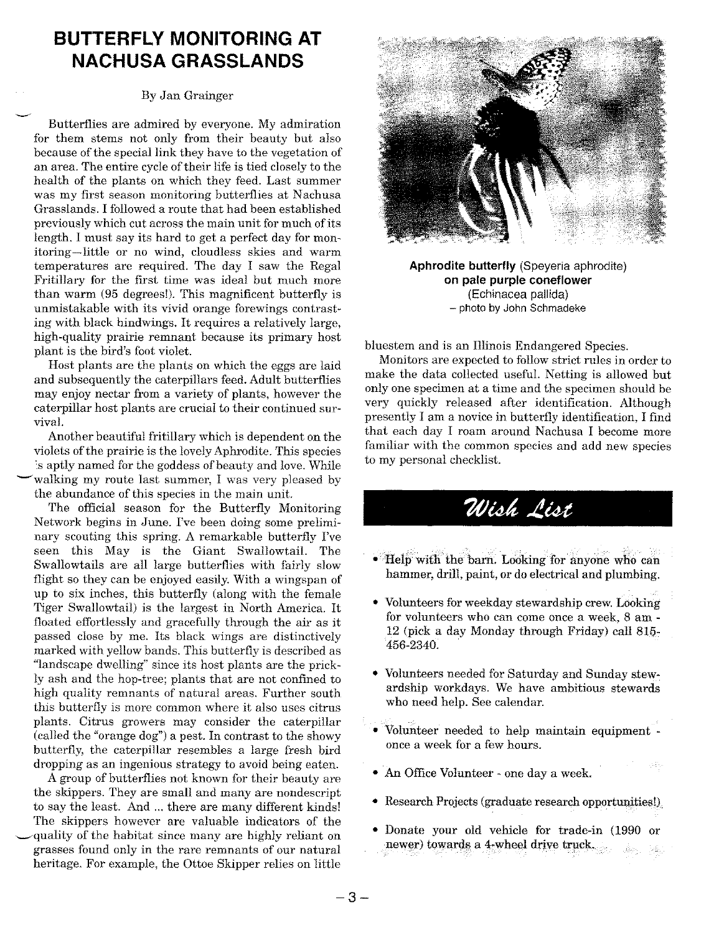# **BUTTERFLY MONITORING AT NACHUSA GRASSLANDS**

### By Jan Grainger

Butterflies are admired by everyone. My admiration for them stems not only from their beauty but also because of the special link they have to the vegetation of an area. The entire cycle of their life is tied closely to the health of the plants on which they feed. Last summer was my first season monitoring butterflies at Nachusa Grasslands. I followed a route that had been established previously which cut across the main unit for much of its length. I must say its hard to get a perfect day for monitoring-little or no wind, cloudless skies and warm temperatures are required. The day I saw the Regal Fritillary for the first time was ideal but much more than warm (95 degrees!). This magnificent butterfly is unmistakable with its vivid orange forewings contrasting with black hindwings. It requires a relatively large, high-quality prairie remnant because its primary host plant is the bird's foot violet.

Host plants are the plants on which the eggs are laid and subsequently the caterpillars feed. Adult butterflies may enjoy nectar from a variety of plants, however the caterpillar host plants are crucial to their continued survival.

Another beautiful fritillary which is dependent on the violets of the prairie is the lovely Aphrodite. This species .s aptly named for the goddess of beauty and love. While walking my route last summer, I was very pleased by the abundance of this species in the main unit.

The official season for the Butterfly Monitoring Network begins in June. I've been doing some preliminary scouting this spring. A remarkable butterfly I've seen this May is the Giant Swallowtail. The Swallowtails are all large butterflies with fairly slow flight so they can be enjoyed easily. With a wingspan of up to six inches, this butterfly (along with the female Tiger Swallowtail) is the largest in North America. It floated effortlessly and gracefully through the air as it passed close by me. Its black wings are distinctively marked with yellow bands. This butterfly is described as "landscape dwelling" since its host plants are the prickly ash and the hop-tree; plants that are not confined to high quality remnants of natural areas. Further south this butterfly is more common where it also uses citrus plants. Citrus growers may consider the caterpillar (called the "orange dog") a pest. In contrast to the showy butterfly, the caterpillar resembles a large fresh bird dropping as an ingenious strategy to avoid being eaten.

A group of butterflies not known for their beauty are the skippers. They are small and many are nondescript to say the least. And ... there are many different kinds! The skippers however are valuable indicators of the ~quality of the habitat since many are highly reliant on grasses found only in the rare remnants of our natural heritage. For example, the Ottoe Skipper relies on little



**Aphrodite butterfly** (Speyeria aphrodite) **on pale purple coneflower** (Echinacea pallida) - photo by John Schmadeke

bluestem and is an Illinois Endangered Species.

Monitors are expected to follow strict rules in order to make the data collected useful. Netting is allowed but only one specimen at a time and the specimen should be very quickly released after identification. Although presently I am a novice in butterfly identification, I find that each day I roam around Nachusa I become more familiar with the common species and add new species to my personal checklist.

# Wish List

- Help with the barn. Looking for anyone who can hammer, drill, paint, or do electrical and plumbing.
- Volunteers for weekday stewardship crew.Looking for volunteers who can come once a week, 8 am -12 (pick a day Monday through Friday) call 815~ 456-2340. .
- Volunteers needed for Saturday and Sunday stewardship workdays. We have ambitious stewards who need help. See calendar.
- Volunteer needed to help maintain equipment once a week for a few hours.
- An Office Volunteer one day a week.
- Research Projects (graduate research opportunities!).
- Donate your old vehicle for trade-in (1990 or newer) towards a 4-wheel drive truck.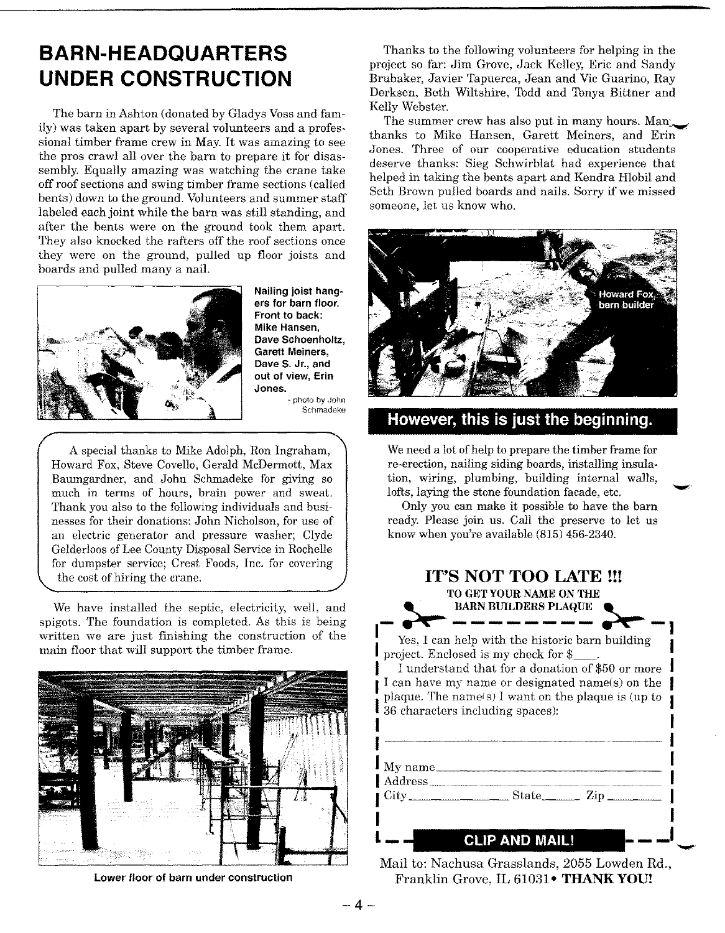# **BARN-HEADQUARTERS UNDER CONSTRUCTION**

The barn in Ashton (donated by Gladys Voss and family) was taken apart by several volunteers and a professional timber frame crew in May. It was amazing to see the pros crawl all over the barn to prepare it for disassembly. Equally amazing was watching the crane take off roof sections and swing timber frame sections (called bents) down to the ground. Volunteers and summer staff labeled each joint while the barn was still standing, and after the bents were on the ground took them apart. They also knocked the rafters off the roof sections once they were on the ground, pulled up floor joists and boards and pulled many a nail.



Nailing joist hangers for barn floor. Front to back: Mike Hansen, Dave Schoenholtz, Garett Meiners, Dave S. Jr., and out of view, Erin Jones.

- photo by John Schmadeke

A special thanks to Mike Adolph, Ron Ingraham, Howard Fox, Steve Covello, Gerald McDermott, Max Baumgardner, and John Schmadeke for giving so much in terms of hours, brain power and sweat. Thank you also to the following individuals and businesses for their donations: John Nicholson, for use of an electric generator and pressure washer; Clyde Gelderloos ofLee County Disposal Service in Rochelle for dumpster service; Crest Foods, Inc. for covering the cost of hiring the crane.

We have installed the septic, electricity, well, and spigots. The foundation is completed. As this is being written we are just finishing the construction of the main floor that will support the timber frame.



Lower floor of barn under construction

Thanks to the following volunteers for helping in the project so far: Jim Grove, Jack Kelley, Eric and Sandy Brubaker, Javier Tapuerca, Jean and Vic Guarino, Ray Derksen, Beth Wiltshire, Todd and Tonya Bittner and Kelly Webster.

The summer crew has also put in many hours. Man thanks to Mike Hansen, Garett Meiners, and Erin Jones. Three of our cooperative education students deserve thanks: Sieg Schwirblat had experience that helped in taking the bents apart and Kendra Hlobil and Seth Brown pulled boards and nails. Sorry if we missed someone, let us know who.



### **However, this is just the beginning.**

We need a lot of help to prepare the timber frame for re-erection, nailing siding boards, installing insulation, wiring, plumbing, building internal walls, lofts, laying the stone foundation facade, etc.

Only you can make it possible to have the barn ready. Please join us. Call the preserve to let us know when you're available (815) 456-2340.

| <b>IT'S NOT TOO LATE !!!</b><br>TO GET YOUR NAME ON THE<br><b>BARN BUILDERS PLAQUE</b> |                                                                                                                             |                                                                                                                                                           |
|----------------------------------------------------------------------------------------|-----------------------------------------------------------------------------------------------------------------------------|-----------------------------------------------------------------------------------------------------------------------------------------------------------|
|                                                                                        | Yes, I can help with the historic barn building<br>project. Enclosed is my check for \$<br>36 characters including spaces): | I understand that for a donation of \$50 or more<br>I can have my name or designated name(s) on the<br>plaque. The name(s) I want on the plaque is (up to |
| $\rm My\:name$                                                                         |                                                                                                                             |                                                                                                                                                           |
|                                                                                        |                                                                                                                             |                                                                                                                                                           |
|                                                                                        | LIP AND MAIL                                                                                                                |                                                                                                                                                           |

Mail to: Nachusa Grasslands, 2055 Lowden Rd., Franklin Grove, IL 61031 • THANK YOU!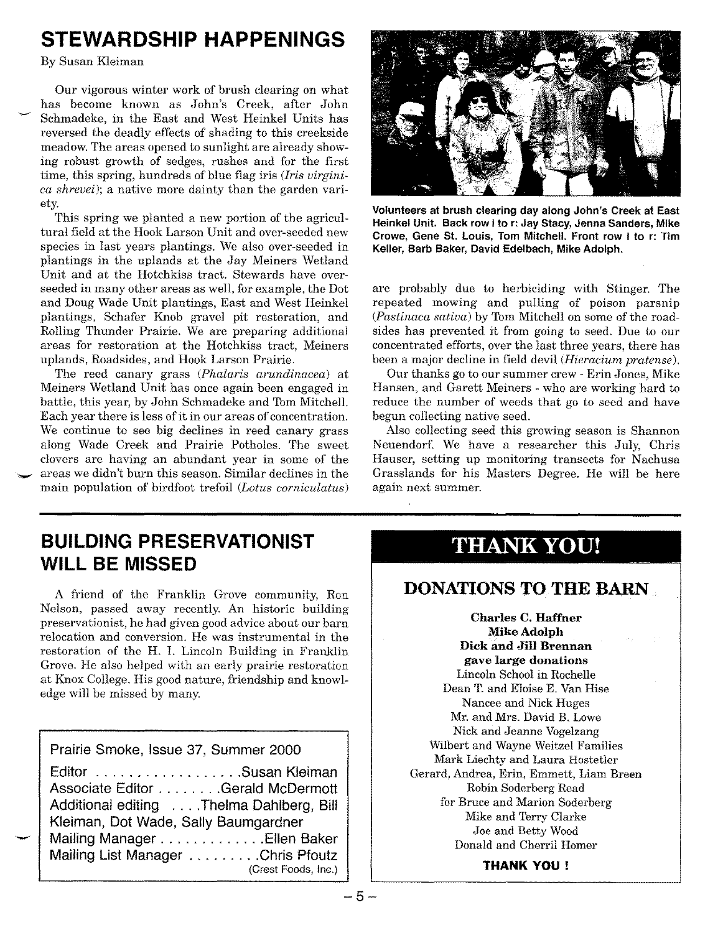# **STEWARDSHIP HAPPENINGS**

By Susan Kleiman

Our vigorous winter work of brush clearing on what has become known as John's Creek, after John Schmadeke, in the East and West Heinkel Units has reversed the deadly effects of shading to this creekside meadow. The areas opened to sunlight are already showing robust growth of sedges, rushes and for the first time, this spring, hundreds of blue flag iris *(Iris virginica shrevei);* a native more dainty than the garden variety.

This spring we planted a new portion of the agricultural field at the Hook Larson Unit and over-seeded new species in last years plantings. We also over-seeded in plantings in the uplands at the Jay Meiners Wetland Unit and at the Hotchkiss tract. Stewards have overseeded in many other areas as well, for example, the Dot and Doug Wade Unit plantings, East and West Heinkel plantings, Schafer Knob gravel pit restoration, and Rolling Thunder Prairie. We are preparing additional areas for restoration at the Hotchkiss tract, Meiners uplands, Roadsides, and Hook Larson Prairie.

The reed canary grass *(Phalaris arundinacea)* at Meiners Wetland Unit has once again been engaged in battle, this year, by John Schmadeke and Tom Mitchell. Each year there is less of it in our areas of concentration. We continue to see big declines in reed canary grass along Wade Creek and Prairie Potholes. The sweet clovers are having an abundant year in some of the areas we didn't burn this season. Similar declines in the main population of birdfoot trefoil *(Lotus corniculatus)* 



Volunteers at brush clearing day along John's Creek at East Heinkel Unit. Back row I to r: Jay Stacy, Jenna Sanders, Mike Crowe, Gene St. Louis, Tom Mitchell. Front row I to r: Tim Keller, Barb Baker, David Edelbach, Mike Adolph.

are probably due to herbiciding with Stinger. The repeated mowing and pulling of poison parsnip *(Pastinaca sativa)* by Tom Mitchell on some of the roadsides has prevented it from going to seed. Due to our concentrated efforts, over the last three years, there has been a major decline in field devil *(Hieracium pratense).*

Our thanks go to our summer crew - Erin Jones, Mike Hansen, and Garett Meiners - who are working hard to reduce the number of weeds that go to seed and have begun collecting native seed.

Also collecting seed this growing season is Shannon Neuendorf. We have a researcher this July, Chris Hauser, setting up monitoring transects for Nachusa Grasslands for his Masters Degree. He will be here again next summer.

# **BUILDING PRESERVATIONIST WILL BE MISSED**

A friend of the Franklin Grove community, Ron Nelson, passed away recently. An historic building preservationist, he had given good advice about our barn relocation and conversion. He was instrumental in the restoration of the H. 1. Lincoln Building in Franklin Grove. He also helped with an early prairie restoration at Knox College. His good nature, friendship and knowledge will be missed by many.

| Prairie Smoke, Issue 37, Summer 2000                                                                                                                                                                                                      |
|-------------------------------------------------------------------------------------------------------------------------------------------------------------------------------------------------------------------------------------------|
| Editor Susan Kleiman<br>Associate Editor Gerald McDermott<br>Additional editing  Thelma Dahlberg, Bill<br>Kleiman, Dot Wade, Sally Baumgardner<br>Mailing Manager Ellen Baker<br>Mailing List Manager Chris Pfoutz<br>(Crest Foods, Inc.) |

-

# THANK YOU!

### DONATIONS TO THE BARN

Charles C. Haffner Mike Adolph Dick and Jill Brennan gave large donations Lincoln School in Rochelle Dean T. and Eloise E. Van Hise Nancee and Nick Huges Mr. and Mrs. David B. Lowe Nick and Jeanne Vogelzang Wilbert and Wayne Weitzel Families Mark Liechty and Laura Hostetler Gerard, Andrea, Erin, Emmett, Liam Breen Robin Soderberg Read for Bruce and Marion Soderberg Mike and Terry Clarke Joe and Betty Wood Donald and Cherril Homer

**THANK YOU!**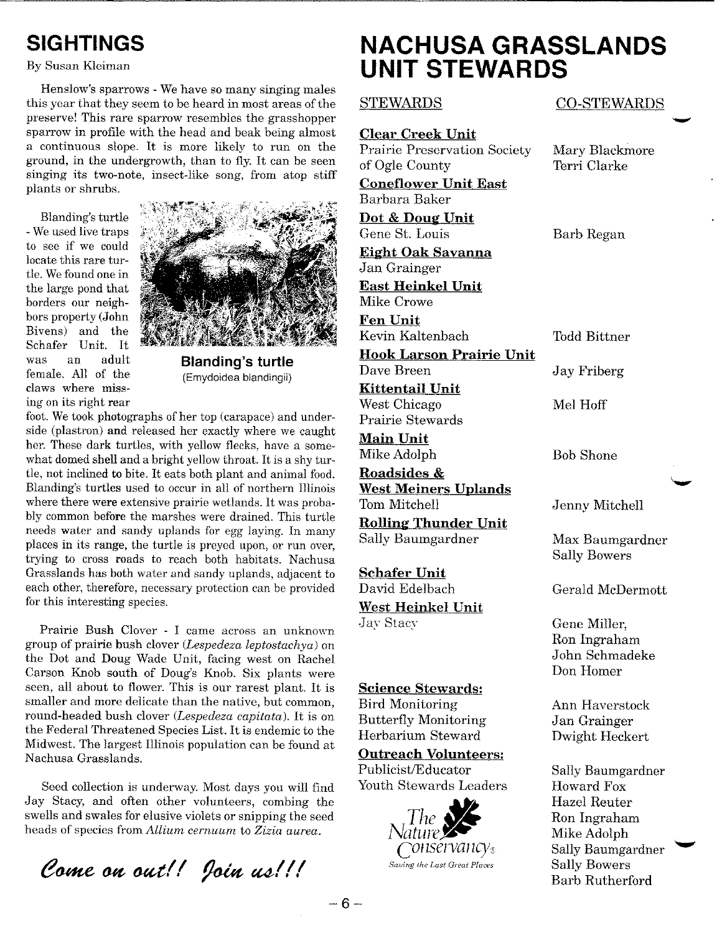# **SIGHTINGS**

### By Susan Kleiman

Henslow's sparrows - We have so many singing males this year that they seem to be heard in most areas of the preserve! This rare sparrow resembles the grasshopper sparrow in profile with the head and beak being almost a continuous slope. It is more likely to run on the ground, in the undergrowth, than to fly. It can be seen singing its two-note, insect-like song, from atop stiff plants or shrubs.

Blanding's turtle -Weused live traps to see if we could locate this rare turtle. Wefound one in the large pond that borders our neighbors property (John Bivens) and the Schafer Unit. It was an adult female. All of the claws where missing on its right rear



**Blanding's turtle** (Emydoidea blandingii)

foot.We took photographs of her top (carapace) and underside (plastron) and released her exactly where we caught her. These dark turtles, with yellow flecks, have a somewhat domed shell and a bright yellow throat. It is a shy turtle, not inclined to bite. It eats both plant and animal food. Blanding's turtles used to occur in all of northern Illinois where there were extensive prairie wetlands. It was probably common before the marshes were drained. This turtle needs water and sandy uplands for egg laying. In many places in its range, the turtle is preyed upon, or run over, trying to cross roads to reach both habitats. Nachusa Grasslands has both water and sandy uplands, adjacent to each other, therefore, necessary protection can be provided for this interesting species.

Prairie Bush Clover - I came across an unknown group of prairie bush clover *(Lespedeza leptostachya)* on the Dot and Doug Wade Unit, facing west on Rachel Carson Knob south of Doug's Knob. Six plants were seen, all about to flower. This is our rarest plant. It is smaller and more delicate than the native, but common, round-headed bush clover *(Lespedeza capitata).* It is on the Federal Threatened Species List. It is endemic to the Midwest. The largest Illinois population can be found at Nachusa Grasslands.

Seed collection is underway. Most days you will find Jay Stacy, and often other volunteers, combing the swells and swales for elusive violets or snipping the seed heads of species from *Allium cernuum* to *Zizia aurea.*

Come on out!! Join us!!!

# **NACHUSA GRASSLANDS UNIT STEWARDS**

**Clear Creek Unit** Prairie Preservation Society Mary Blackmore of Ogle County Terri Clarke

**Coneflower Unit East** Barbara Baker

**Dot & Doug Unit**

Gene St. Louis Barb Regan **Eight Oak Savanna** Jan Grainger

**East Heinkel Unit** Mike Crowe

**Fen Unit** Kevin Kaltenbach Todd Bittner

**Hook Larson Prairie Unit** Dave Breen Jay Friberg

**Kittentail Unit** West Chicago  $\qquad$  Mel Hoff Prairie Stewards

**Main Unit** Mike Adolph Bob Shone

**Roadsides** & **West Meiners Unlands** Tom Mitchell **Jenny Mitchell** 

**Rolling Thunder Unit** Sally Baumgardner Max Baumgardner

### **Schafer Unit**

**West Heinkel Unit** Jay Stacy Gene Miller,

### **Science Stewards:**

Bird Monitoring Ann Haverstock Butterfly Monitoring Jan Grainger Herbarium Steward Dwight Heckert

### **Outreach Volunteers:**

Publicist/Educator Sally Baumgardner Youth Stewards Leaders Howard Fox



### STEWARDS CO-STEWARDS

Sally Bowers

David Edelbach Gerald McDermott

Ron Ingraham John Schmadeke Don Homer

Hazel Reuter *The¥-* Ron Ingraham **Mike Adolph** 7011Ser*Vancy*<sub>8</sub> Sally Baumgardner Barb Rutherford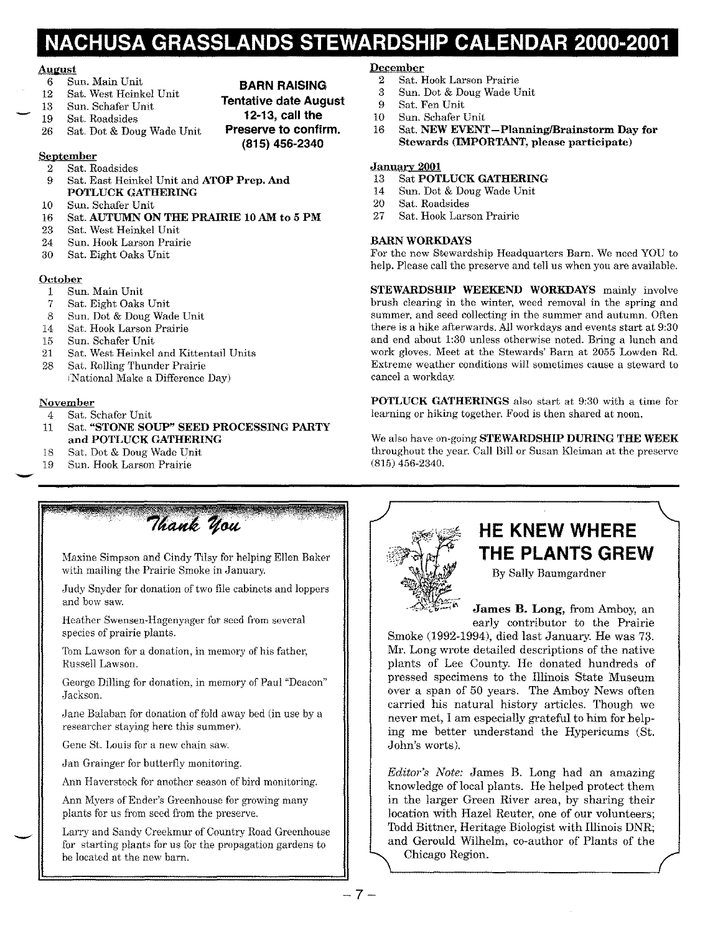# **NACHUSA GRASSLANDS STEWARDSHIP CALENDAR 2000-2001**

**BARN RAISING Tentative date August 12-13, call the Preserve to confirm. (815) 456-2340**

### **AUimst**

--

- 6 Sun. Main Unit
- Sat. West Heinkel Unit
- 13 Sun. Schafer Unit
- 19 Sat. Roadsides
- 26 Sat. Dot & Doug Wade Unit

**September**

- 2 Sat. Roadsides 9 Sat. East Heinkel Unit and **ATOP Prep. And**
- **POTLUCK GATHERING**
- 10 Sun. Schafer Unit
- 16 Sat. **AUTUMN ON THE PRAIRIE 10 AM to 5 PM**
- 23 Sat. West Heinkel Unit
- 24 Sun. Hook Larson Prairie
- 30 Sat. Eight Oaks Unit

### **October**

- 1 Sun. Main Unit
- 7 Sat. Eight Oaks Unit
- 8 Sun. Dot & Doug Wade Unit
- 14 Sat. Hook Larson Prairie
- 15 Sun. Schafer Unit
- 21 Sat. West Heinkel and Kittentail Units
- 28 Sat. Rolling Thunder Prairie (National Make a Difference Day)

### **November**

-

- 4 Sat. Schafer Unit
- 11 Sat. **"STONE SOUP" SEED PROCESSING PARTY and POTLUCK GATHERING**
- 18 Sat. Dot & Doug Wade Unit
- 19 Sun. Hook Larson Prairie

### **December**

- 2 Sat. Hook Larson Prairie<br>3 Sun. Dot & Doug Wade U
- 3 Sun. Dot & Doug Wade Unit
- 9 Sat. Fen Unit
- 10 Sun. Schafer Unit
- 16 Sat. **NEW EVENT-PlanninglBrainstorm Day for Stewards (IMPORTANT, please participate)**

### **January 2001**

- 13 Sat **POTLUCK GATHERING**
- Sun. Dot & Doug Wade Unit
- 20 Sat. Roadsides
- 27 Sat. Hook Larson Prairie

### **BARN WORKDAYS**

For the new Stewardship Headquarters Barn. We need YOU to help. Please call the preserve and tell us when you are available.

**STEWARDSHIP WEEKEND WORKDAYS** mainly involve brush clearing in the winter, weed removal in the spring and summer, and seed collecting in the summer and autumn. Often there is a hike afterwards. All workdays and events start at 9:30 and end about 1:30 unless otherwise noted. Bring a lunch and work gloves. Meet at the Stewards' Barn at 2055 Lowden Rd. Extreme weather conditions will sometimes cause a steward to cancel a workday.

**POTLUCK GATHERINGS** also start at 9:30 with a time for learning or hiking together. Food is then shared at noon.

We also have on-going**STEWARDSHIP DURING THE WEEK** throughout the year. Call Bill or Susan Kleiman at the preserve (815) 456-2340.



# **HE KNEW WHERE THE PLANTS GREW**

By Sally Baumgardner

**James B. Long,** from Amboy, an early contributor to the Prairie

Smoke (1992-1994), died last January. He was 73. Mr. Long wrote detailed descriptions of the native plants of Lee County. He donated hundreds of pressed specimens to the Illinois State Museum over a span of 50 years. The Amboy News often carried his natural history articles. Though we never met, I am especially grateful to him for helping me better understand the Hypericums (St. John's worts).

*Editor's Note:* James B. Long had an amazing knowledge of local plants. He helped protect them in the larger Green River area, by sharing their location with Hazel Reuter, one of our volunteers; Todd Bittner, Heritage Biologist with Illinois DNR; and Gerould Wilhelm, co-author of Plants of the Chicago Region.

Maxine Simpson and Cindy Tilsy for helping Ellen Baker with mailing the Prairie Smoke in January.

Thank you

Judy Snyder for donation of two file cabinets and loppers and bow saw.

Heather Swensen-Hagenyager for seed from several species of prairie plants.

Tom Lawson for a donation, in memory of his father, Russell Lawson.

George Dilling for donation, in memory of Paul "Deacon" Jackson.

Jane Balaban for donation of fold away bed (in use by a researcher staying here this summer).

Gene St. Louis for a new chain saw.

-Ian Grainger for butterfly monitoring.

Ann Haverstock for another season of bird monitoring.

Ann Myers of Ender's Greenhouse for growing many plants for us from seed from the preserve.

Larry and Sandy Creekmur of Country Road Greenhouse for starting plants for us for the propagation gardens to be located at the new barn.